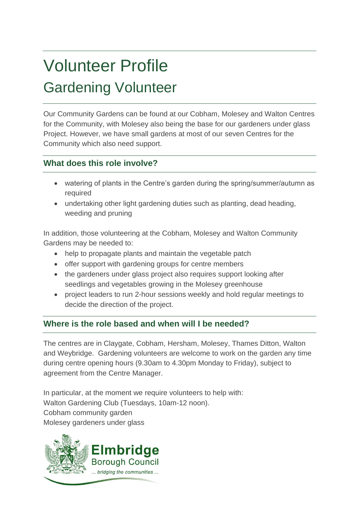# Volunteer Profile Gardening Volunteer

Our Community Gardens can be found at our Cobham, Molesey and Walton Centres for the Community, with Molesey also being the base for our gardeners under glass Project. However, we have small gardens at most of our seven Centres for the Community which also need support.

## **What does this role involve?**

- watering of plants in the Centre's garden during the spring/summer/autumn as required
- undertaking other light gardening duties such as planting, dead heading, weeding and pruning

In addition, those volunteering at the Cobham, Molesey and Walton Community Gardens may be needed to:

- help to propagate plants and maintain the vegetable patch
- offer support with gardening groups for centre members
- the gardeners under glass project also requires support looking after seedlings and vegetables growing in the Molesey greenhouse
- project leaders to run 2-hour sessions weekly and hold regular meetings to decide the direction of the project.

## **Where is the role based and when will I be needed?**

The centres are in Claygate, Cobham, Hersham, Molesey, Thames Ditton, Walton and Weybridge. Gardening volunteers are welcome to work on the garden any time during centre opening hours (9.30am to 4.30pm Monday to Friday), subject to agreement from the Centre Manager.

In particular, at the moment we require volunteers to help with: Walton Gardening Club (Tuesdays, 10am-12 noon). Cobham community garden Molesey gardeners under glass